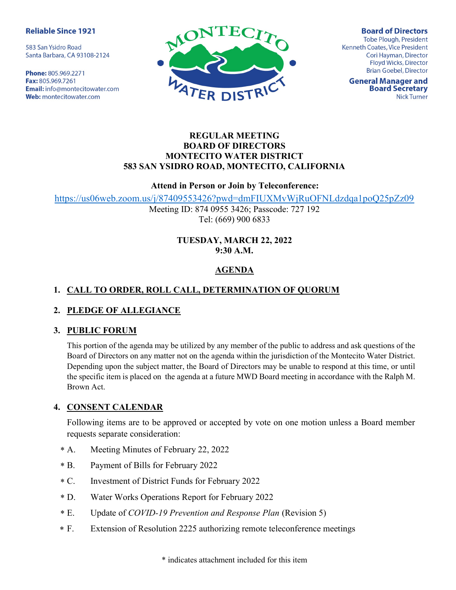#### **Reliable Since 1921**

583 San Ysidro Road Santa Barbara, CA 93108-2124

Phone: 805.969.2271 Fax: 805.969.7261 Email: info@montecitowater.com Web: montecitowater.com



**Board of Directors Tobe Plough, President** Kenneth Coates, Vice President Cori Hayman, Director Floyd Wicks, Director **Brian Goebel, Director** 

**General Manager and Board Secretary Nick Turner** 

#### REGULAR MEETING BOARD OF DIRECTORS MONTECITO WATER DISTRICT 583 SAN YSIDRO ROAD, MONTECITO, CALIFORNIA

#### Attend in Person or Join by Teleconference:

https://us06web.zoom.us/j/87409553426?pwd=dmFIUXMvWjRuOFNLdzdqa1poQ25pZz09

Meeting ID: 874 0955 3426; Passcode: 727 192 Tel: (669) 900 6833

## TUESDAY, MARCH 22, 2022 9:30 A.M.

# **AGENDA**

# 1. CALL TO ORDER, ROLL CALL, DETERMINATION OF QUORUM

## 2. PLEDGE OF ALLEGIANCE

#### 3. PUBLIC FORUM

This portion of the agenda may be utilized by any member of the public to address and ask questions of the Board of Directors on any matter not on the agenda within the jurisdiction of the Montecito Water District. Depending upon the subject matter, the Board of Directors may be unable to respond at this time, or until the specific item is placed on the agenda at a future MWD Board meeting in accordance with the Ralph M. Brown Act.

## 4. CONSENT CALENDAR

Following items are to be approved or accepted by vote on one motion unless a Board member requests separate consideration:

- Meeting Minutes of February 22, 2022  $* A.$
- Payment of Bills for February 2022  $*$  B.
- Investment of District Funds for February 2022  $*C.$
- Water Works Operations Report for February 2022  $*D.$
- Update of *COVID-19 Prevention and Response Plan* (Revision 5)  $E$ .
- Extension of Resolution 2225 authorizing remote teleconference meetings  $*$  F.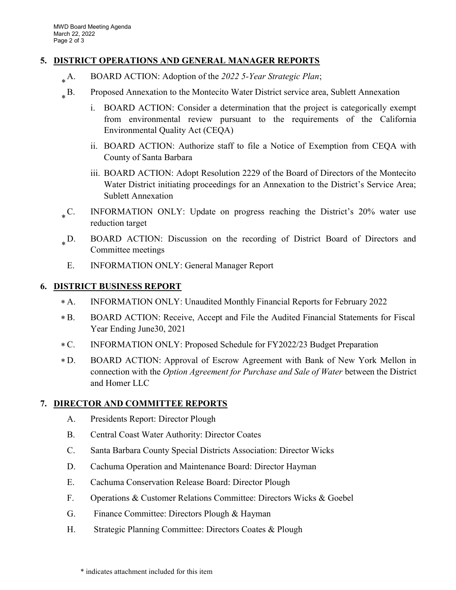## 5. DISTRICT OPERATIONS AND GENERAL MANAGER REPORTS

- BOARD ACTION: Adoption of the 2022 5-Year Strategic Plan;  $_{*}$  A.
- B. Proposed Annexation to the Montecito Water District service area, Sublett Annexation  $_{*}$  B.
	- i. BOARD ACTION: Consider a determination that the project is categorically exempt from environmental review pursuant to the requirements of the California Environmental Quality Act (CEQA)
	- ii. BOARD ACTION: Authorize staff to file a Notice of Exemption from CEQA with County of Santa Barbara
	- iii. BOARD ACTION: Adopt Resolution 2229 of the Board of Directors of the Montecito Water District initiating proceedings for an Annexation to the District's Service Area; Sublett Annexation
- INFORMATION ONLY: Update on progress reaching the District's 20% water use reduction target  $\cdot$  C.
- BOARD ACTION: Discussion on the recording of District Board of Directors and Committee meetings  $_{*}$ D.
- E. INFORMATION ONLY: General Manager Report

# 6. DISTRICT BUSINESS REPORT

- INFORMATION ONLY: Unaudited Monthly Financial Reports for February 2022  $* A$ .
- BOARD ACTION: Receive, Accept and File the Audited Financial Statements for Fiscal Year Ending June30, 2021  $*$  B.
- C. INFORMATION ONLY: Proposed Schedule for FY2022/23 Budget Preparation  $*C.$
- BOARD ACTION: Approval of Escrow Agreement with Bank of New York Mellon in connection with the Option Agreement for Purchase and Sale of Water between the District and Homer LLC  $*D.$

# 7. DIRECTOR AND COMMITTEE REPORTS

- A. Presidents Report: Director Plough
- B. Central Coast Water Authority: Director Coates
- C. Santa Barbara County Special Districts Association: Director Wicks
- D. Cachuma Operation and Maintenance Board: Director Hayman
- E. Cachuma Conservation Release Board: Director Plough
- F. Operations & Customer Relations Committee: Directors Wicks & Goebel
- G. Finance Committee: Directors Plough & Hayman
- H. Strategic Planning Committee: Directors Coates & Plough